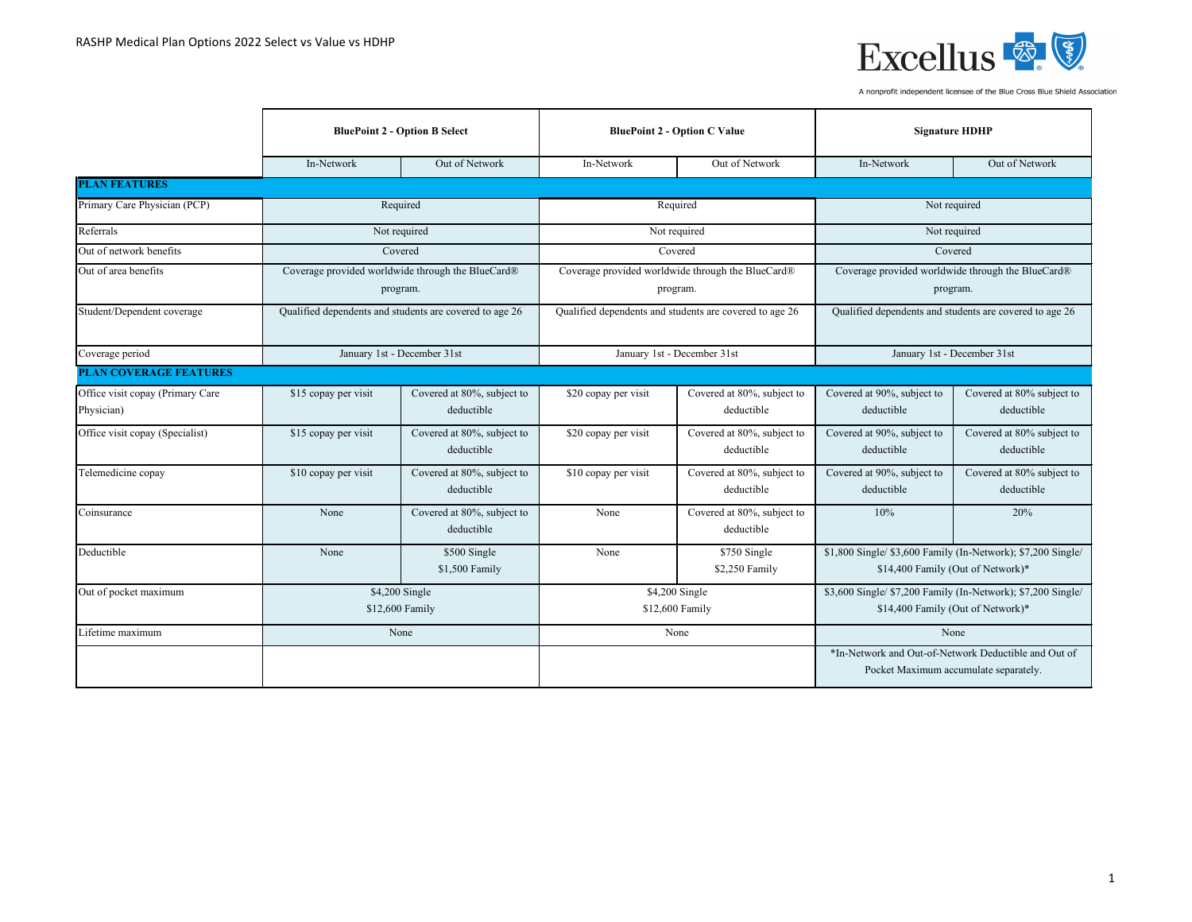

|                                  | <b>BluePoint 2 - Option B Select</b>                    |                                                   | <b>BluePoint 2 - Option C Value</b>                     |                                                   | <b>Signature HDHP</b>                                                                             |                                                                                               |  |
|----------------------------------|---------------------------------------------------------|---------------------------------------------------|---------------------------------------------------------|---------------------------------------------------|---------------------------------------------------------------------------------------------------|-----------------------------------------------------------------------------------------------|--|
|                                  | In-Network                                              | Out of Network                                    | In-Network                                              | Out of Network                                    | In-Network                                                                                        | Out of Network                                                                                |  |
| <b>PLAN FEATURES</b>             |                                                         |                                                   |                                                         |                                                   |                                                                                                   |                                                                                               |  |
| Primary Care Physician (PCP)     |                                                         | Required                                          |                                                         | Required                                          |                                                                                                   | Not required                                                                                  |  |
| Referrals                        |                                                         | Not required                                      |                                                         | Not required                                      |                                                                                                   | Not required                                                                                  |  |
| Out of network benefits          |                                                         | Covered                                           |                                                         | Covered                                           |                                                                                                   | Covered                                                                                       |  |
| Out of area benefits             |                                                         | Coverage provided worldwide through the BlueCard® |                                                         | Coverage provided worldwide through the BlueCard® |                                                                                                   | Coverage provided worldwide through the BlueCard®                                             |  |
|                                  |                                                         | program.                                          |                                                         | program.                                          |                                                                                                   | program.                                                                                      |  |
| Student/Dependent coverage       | Qualified dependents and students are covered to age 26 |                                                   | Qualified dependents and students are covered to age 26 |                                                   | Qualified dependents and students are covered to age 26                                           |                                                                                               |  |
| Coverage period                  | January 1st - December 31st                             |                                                   | January 1st - December 31st                             |                                                   | January 1st - December 31st                                                                       |                                                                                               |  |
| <b>PLAN COVERAGE FEATURES</b>    |                                                         |                                                   |                                                         |                                                   |                                                                                                   |                                                                                               |  |
| Office visit copay (Primary Care | \$15 copay per visit                                    | Covered at 80%, subject to                        | \$20 copay per visit                                    | Covered at 80%, subject to                        | Covered at 90%, subject to                                                                        | Covered at 80% subject to                                                                     |  |
| Physician)                       |                                                         | deductible                                        |                                                         | deductible                                        | deductible                                                                                        | deductible                                                                                    |  |
| Office visit copay (Specialist)  | \$15 copay per visit                                    | Covered at 80%, subject to<br>deductible          | \$20 copay per visit                                    | Covered at 80%, subject to<br>deductible          | Covered at 90%, subject to<br>deductible                                                          | Covered at 80% subject to<br>deductible                                                       |  |
| Telemedicine copay               | \$10 copay per visit                                    | Covered at 80%, subject to<br>deductible          | \$10 copay per visit                                    | Covered at 80%, subject to<br>deductible          | Covered at 90%, subject to<br>deductible                                                          | Covered at 80% subject to<br>deductible                                                       |  |
| Coinsurance                      | None                                                    | Covered at 80%, subject to<br>deductible          | None                                                    | Covered at 80%, subject to<br>deductible          | 10%                                                                                               | 20%                                                                                           |  |
| Deductible                       | None                                                    | \$500 Single<br>\$1,500 Family                    | None                                                    | \$750 Single<br>\$2,250 Family                    | \$1,800 Single/ \$3,600 Family (In-Network); \$7,200 Single/<br>\$14,400 Family (Out of Network)* |                                                                                               |  |
| Out of pocket maximum            | \$4,200 Single<br>\$12,600 Family                       |                                                   | \$4,200 Single<br>\$12,600 Family                       |                                                   | \$3,600 Single/ \$7,200 Family (In-Network); \$7,200 Single/<br>\$14,400 Family (Out of Network)* |                                                                                               |  |
| Lifetime maximum                 |                                                         | None                                              |                                                         | None                                              |                                                                                                   | None                                                                                          |  |
|                                  |                                                         |                                                   |                                                         |                                                   |                                                                                                   | *In-Network and Out-of-Network Deductible and Out of<br>Pocket Maximum accumulate separately. |  |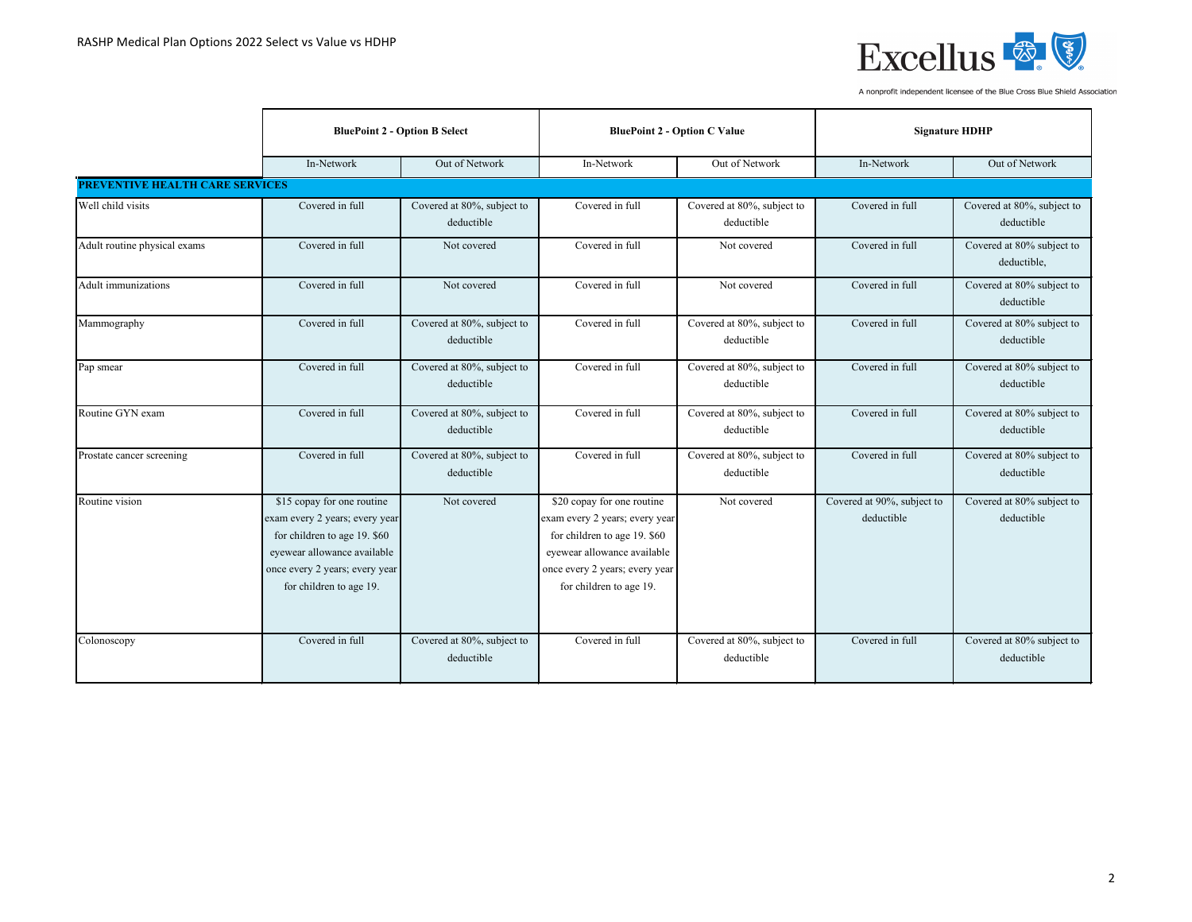

|                                        | <b>BluePoint 2 - Option B Select</b>                                                                                                                                                     |                                          | <b>BluePoint 2 - Option C Value</b>                                                                                                                                                      |                                          | <b>Signature HDHP</b>                    |                                          |
|----------------------------------------|------------------------------------------------------------------------------------------------------------------------------------------------------------------------------------------|------------------------------------------|------------------------------------------------------------------------------------------------------------------------------------------------------------------------------------------|------------------------------------------|------------------------------------------|------------------------------------------|
|                                        | In-Network                                                                                                                                                                               | Out of Network                           | In-Network                                                                                                                                                                               | Out of Network                           | In-Network                               | Out of Network                           |
| <b>PREVENTIVE HEALTH CARE SERVICES</b> |                                                                                                                                                                                          |                                          |                                                                                                                                                                                          |                                          |                                          |                                          |
| Well child visits                      | Covered in full                                                                                                                                                                          | Covered at 80%, subject to<br>deductible | Covered in full                                                                                                                                                                          | Covered at 80%, subject to<br>deductible | Covered in full                          | Covered at 80%, subject to<br>deductible |
| Adult routine physical exams           | Covered in full                                                                                                                                                                          | Not covered                              | Covered in full                                                                                                                                                                          | Not covered                              | Covered in full                          | Covered at 80% subject to<br>deductible, |
| Adult immunizations                    | Covered in full                                                                                                                                                                          | Not covered                              | Covered in full                                                                                                                                                                          | Not covered                              | Covered in full                          | Covered at 80% subject to<br>deductible  |
| Mammography                            | Covered in full                                                                                                                                                                          | Covered at 80%, subject to<br>deductible | Covered in full                                                                                                                                                                          | Covered at 80%, subject to<br>deductible | Covered in full                          | Covered at 80% subject to<br>deductible  |
| Pap smear                              | Covered in full                                                                                                                                                                          | Covered at 80%, subject to<br>deductible | Covered in full                                                                                                                                                                          | Covered at 80%, subject to<br>deductible | Covered in full                          | Covered at 80% subject to<br>deductible  |
| Routine GYN exam                       | Covered in full                                                                                                                                                                          | Covered at 80%, subject to<br>deductible | Covered in full                                                                                                                                                                          | Covered at 80%, subject to<br>deductible | Covered in full                          | Covered at 80% subject to<br>deductible  |
| Prostate cancer screening              | Covered in full                                                                                                                                                                          | Covered at 80%, subject to<br>deductible | Covered in full                                                                                                                                                                          | Covered at 80%, subject to<br>deductible | Covered in full                          | Covered at 80% subject to<br>deductible  |
| Routine vision                         | \$15 copay for one routine<br>exam every 2 years; every year<br>for children to age 19. \$60<br>eyewear allowance available<br>once every 2 years; every year<br>for children to age 19. | Not covered                              | \$20 copay for one routine<br>exam every 2 years; every year<br>for children to age 19. \$60<br>eyewear allowance available<br>once every 2 years; every year<br>for children to age 19. | Not covered                              | Covered at 90%, subject to<br>deductible | Covered at 80% subject to<br>deductible  |
| Colonoscopy                            | Covered in full                                                                                                                                                                          | Covered at 80%, subject to<br>deductible | Covered in full                                                                                                                                                                          | Covered at 80%, subject to<br>deductible | Covered in full                          | Covered at 80% subject to<br>deductible  |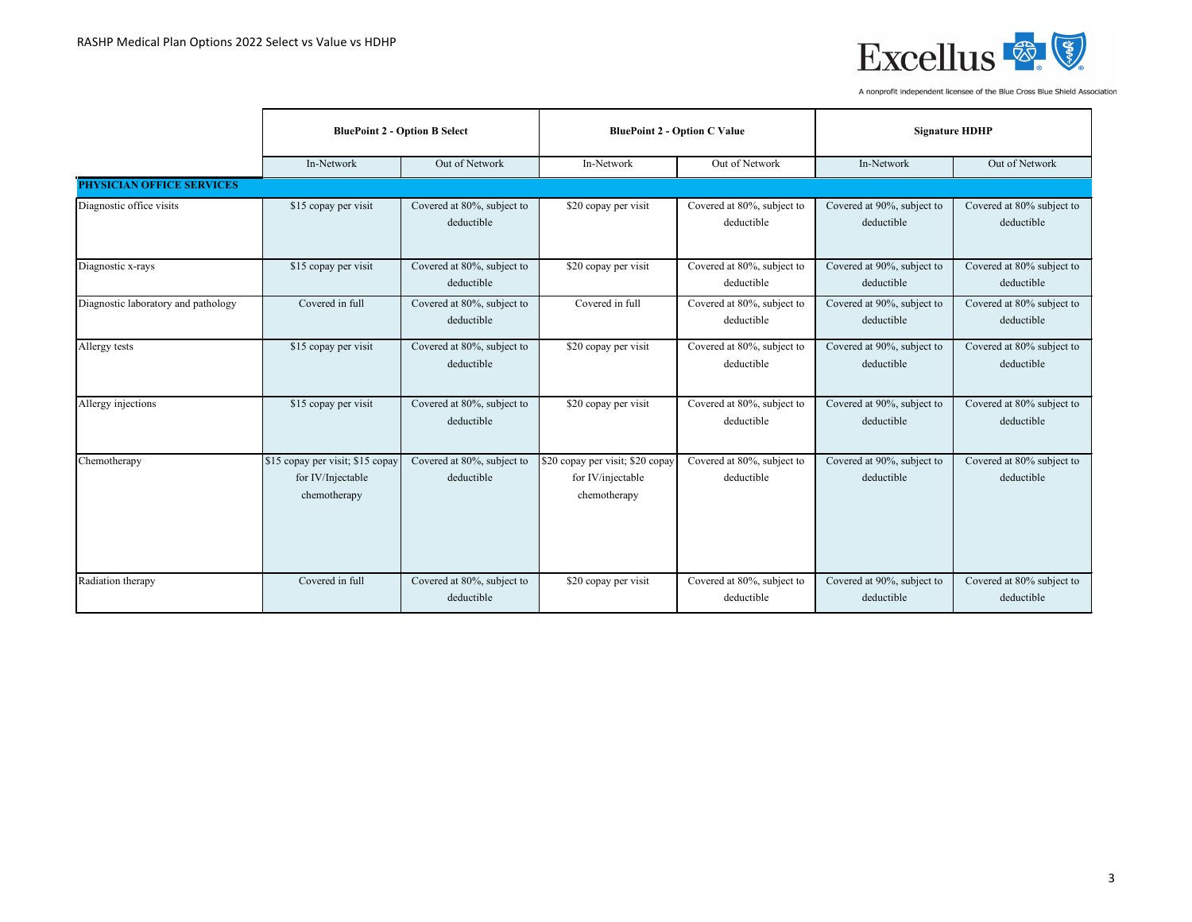

|                                     | <b>BluePoint 2 - Option B Select</b>                                  |                                          | <b>BluePoint 2 - Option C Value</b>                                   |                                          | <b>Signature HDHP</b>                    |                                         |
|-------------------------------------|-----------------------------------------------------------------------|------------------------------------------|-----------------------------------------------------------------------|------------------------------------------|------------------------------------------|-----------------------------------------|
|                                     | In-Network                                                            | Out of Network                           | In-Network                                                            | Out of Network                           | In-Network                               | Out of Network                          |
| <b>PHYSICIAN OFFICE SERVICES</b>    |                                                                       |                                          |                                                                       |                                          |                                          |                                         |
| Diagnostic office visits            | \$15 copay per visit                                                  | Covered at 80%, subject to<br>deductible | \$20 copay per visit                                                  | Covered at 80%, subject to<br>deductible | Covered at 90%, subject to<br>deductible | Covered at 80% subject to<br>deductible |
| Diagnostic x-rays                   | \$15 copay per visit                                                  | Covered at 80%, subject to<br>deductible | \$20 copay per visit                                                  | Covered at 80%, subject to<br>deductible | Covered at 90%, subject to<br>deductible | Covered at 80% subject to<br>deductible |
| Diagnostic laboratory and pathology | Covered in full                                                       | Covered at 80%, subject to<br>deductible | Covered in full                                                       | Covered at 80%, subject to<br>deductible | Covered at 90%, subject to<br>deductible | Covered at 80% subject to<br>deductible |
| Allergy tests                       | \$15 copay per visit                                                  | Covered at 80%, subject to<br>deductible | \$20 copay per visit                                                  | Covered at 80%, subject to<br>deductible | Covered at 90%, subject to<br>deductible | Covered at 80% subject to<br>deductible |
| Allergy injections                  | \$15 copay per visit                                                  | Covered at 80%, subject to<br>deductible | \$20 copay per visit                                                  | Covered at 80%, subject to<br>deductible | Covered at 90%, subject to<br>deductible | Covered at 80% subject to<br>deductible |
| Chemotherapy                        | \$15 copay per visit; \$15 copay<br>for IV/Injectable<br>chemotherapy | Covered at 80%, subject to<br>deductible | \$20 copay per visit; \$20 copay<br>for IV/injectable<br>chemotherapy | Covered at 80%, subject to<br>deductible | Covered at 90%, subject to<br>deductible | Covered at 80% subject to<br>deductible |
| Radiation therapy                   | Covered in full                                                       | Covered at 80%, subject to<br>deductible | \$20 copay per visit                                                  | Covered at 80%, subject to<br>deductible | Covered at 90%, subject to<br>deductible | Covered at 80% subject to<br>deductible |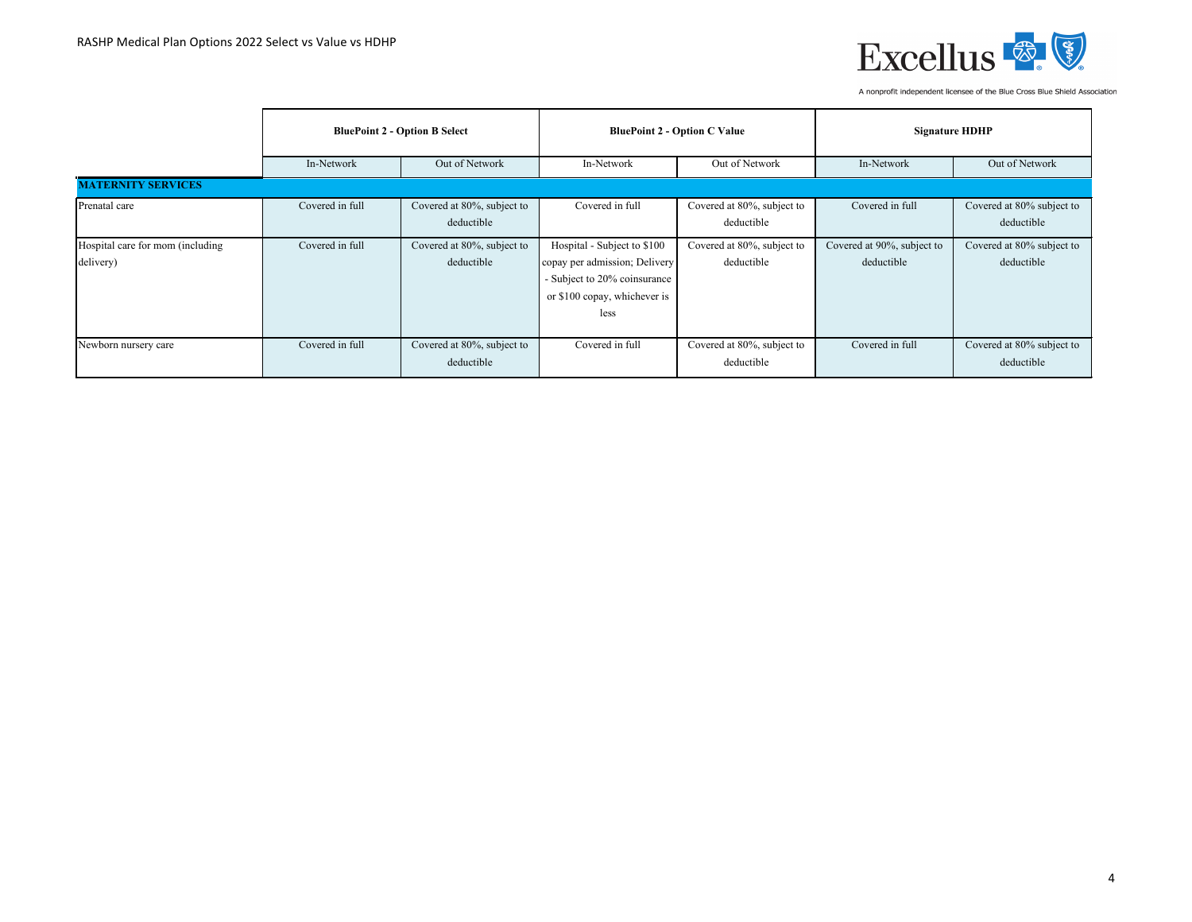

|                                               | <b>BluePoint 2 - Option B Select</b> |                                          | <b>BluePoint 2 - Option C Value</b>                                                                                                  |                                          | <b>Signature HDHP</b>                    |                                         |
|-----------------------------------------------|--------------------------------------|------------------------------------------|--------------------------------------------------------------------------------------------------------------------------------------|------------------------------------------|------------------------------------------|-----------------------------------------|
|                                               | In-Network                           | Out of Network                           | In-Network                                                                                                                           | Out of Network                           | In-Network                               | Out of Network                          |
| <b>MATERNITY SERVICES</b>                     |                                      |                                          |                                                                                                                                      |                                          |                                          |                                         |
| Prenatal care                                 | Covered in full                      | Covered at 80%, subject to<br>deductible | Covered in full                                                                                                                      | Covered at 80%, subject to<br>deductible | Covered in full                          | Covered at 80% subject to<br>deductible |
| Hospital care for mom (including<br>delivery) | Covered in full                      | Covered at 80%, subject to<br>deductible | Hospital - Subject to \$100<br>copay per admission; Delivery<br>- Subject to 20% coinsurance<br>or \$100 copay, whichever is<br>less | Covered at 80%, subject to<br>deductible | Covered at 90%, subject to<br>deductible | Covered at 80% subject to<br>deductible |
| Newborn nursery care                          | Covered in full                      | Covered at 80%, subject to<br>deductible | Covered in full                                                                                                                      | Covered at 80%, subject to<br>deductible | Covered in full                          | Covered at 80% subject to<br>deductible |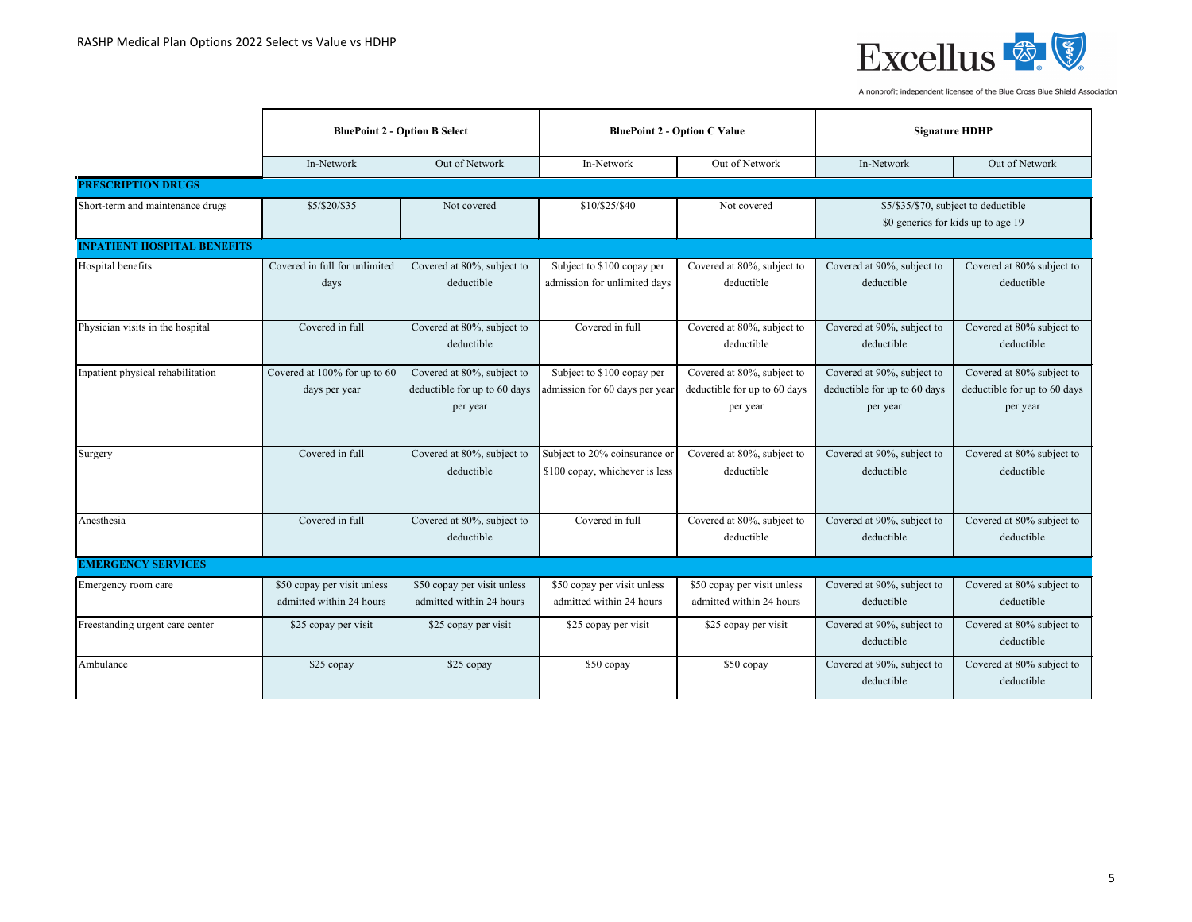

|                                    | <b>BluePoint 2 - Option B Select</b>                    |                                                                        |                                                                 | <b>BluePoint 2 - Option C Value</b>                                    | <b>Signature HDHP</b>                                                  |                                                                       |
|------------------------------------|---------------------------------------------------------|------------------------------------------------------------------------|-----------------------------------------------------------------|------------------------------------------------------------------------|------------------------------------------------------------------------|-----------------------------------------------------------------------|
|                                    | In-Network                                              | Out of Network                                                         | In-Network                                                      | Out of Network                                                         | In-Network                                                             | Out of Network                                                        |
| <b>PRESCRIPTION DRUGS</b>          |                                                         |                                                                        |                                                                 |                                                                        |                                                                        |                                                                       |
| Short-term and maintenance drugs   | \$5/\$20/\$35                                           | Not covered                                                            | \$10/\$25/\$40                                                  | Not covered                                                            | \$0 generics for kids up to age 19                                     | \$5/\$35/\$70, subject to deductible                                  |
| <b>INPATIENT HOSPITAL BENEFITS</b> |                                                         |                                                                        |                                                                 |                                                                        |                                                                        |                                                                       |
| Hospital benefits                  | Covered in full for unlimited<br>days                   | Covered at 80%, subject to<br>deductible                               | Subject to \$100 copay per<br>admission for unlimited days      | Covered at 80%, subject to<br>deductible                               | Covered at 90%, subject to<br>deductible                               | Covered at 80% subject to<br>deductible                               |
| Physician visits in the hospital   | Covered in full                                         | Covered at 80%, subject to<br>deductible                               | Covered in full                                                 | Covered at 80%, subject to<br>deductible                               | Covered at 90%, subject to<br>deductible                               | Covered at 80% subject to<br>deductible                               |
| Inpatient physical rehabilitation  | Covered at 100% for up to 60<br>days per year           | Covered at 80%, subject to<br>deductible for up to 60 days<br>per year | Subject to \$100 copay per<br>admission for 60 days per year    | Covered at 80%, subject to<br>deductible for up to 60 days<br>per year | Covered at 90%, subject to<br>deductible for up to 60 days<br>per year | Covered at 80% subject to<br>deductible for up to 60 days<br>per year |
| Surgery                            | Covered in full                                         | Covered at 80%, subject to<br>deductible                               | Subject to 20% coinsurance or<br>\$100 copay, whichever is less | Covered at 80%, subject to<br>deductible                               | Covered at 90%, subject to<br>deductible                               | Covered at 80% subject to<br>deductible                               |
| Anesthesia                         | Covered in full                                         | Covered at 80%, subject to<br>deductible                               | Covered in full                                                 | Covered at 80%, subject to<br>deductible                               | Covered at 90%, subject to<br>deductible                               | Covered at 80% subject to<br>deductible                               |
| <b>EMERGENCY SERVICES</b>          |                                                         |                                                                        |                                                                 |                                                                        |                                                                        |                                                                       |
| Emergency room care                | \$50 copay per visit unless<br>admitted within 24 hours | \$50 copay per visit unless<br>admitted within 24 hours                | \$50 copay per visit unless<br>admitted within 24 hours         | \$50 copay per visit unless<br>admitted within 24 hours                | Covered at 90%, subject to<br>deductible                               | Covered at 80% subject to<br>deductible                               |
| Freestanding urgent care center    | \$25 copay per visit                                    | \$25 copay per visit                                                   | \$25 copay per visit                                            | \$25 copay per visit                                                   | Covered at 90%, subject to<br>deductible                               | Covered at 80% subject to<br>deductible                               |
| Ambulance                          | \$25 copay                                              | \$25 copay                                                             | \$50 copay                                                      | \$50 copay                                                             | Covered at 90%, subject to<br>deductible                               | Covered at 80% subject to<br>deductible                               |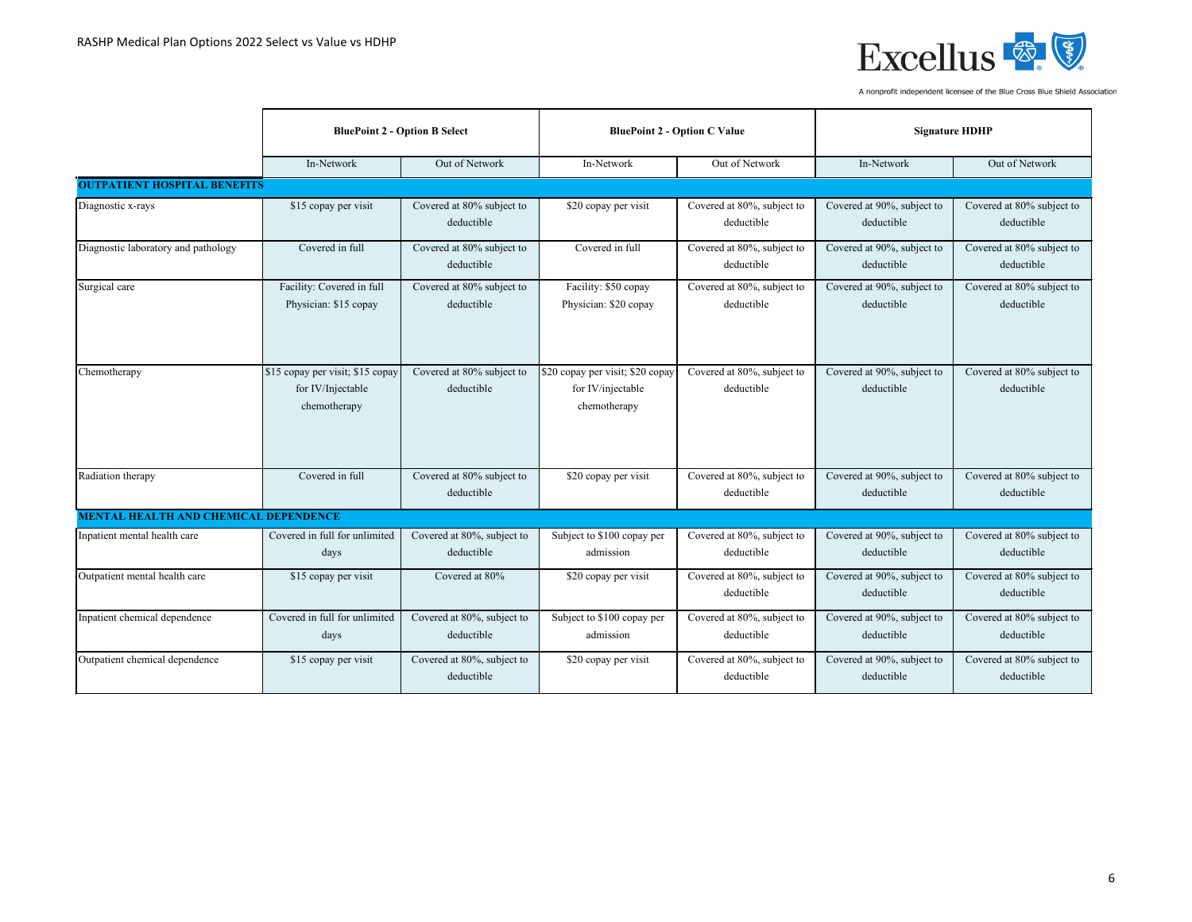

|                                              | <b>BluePoint 2 - Option B Select</b>                                  |                                          |                                                                       | <b>BluePoint 2 - Option C Value</b>      | <b>Signature HDHP</b>                    |                                         |
|----------------------------------------------|-----------------------------------------------------------------------|------------------------------------------|-----------------------------------------------------------------------|------------------------------------------|------------------------------------------|-----------------------------------------|
|                                              | In-Network                                                            | Out of Network                           | In-Network                                                            | Out of Network                           | In-Network                               | Out of Network                          |
| <b>OUTPATIENT HOSPITAL BENEFITS</b>          |                                                                       |                                          |                                                                       |                                          |                                          |                                         |
| Diagnostic x-rays                            | \$15 copay per visit                                                  | Covered at 80% subject to<br>deductible  | \$20 copay per visit                                                  | Covered at 80%, subject to<br>deductible | Covered at 90%, subject to<br>deductible | Covered at 80% subject to<br>deductible |
| Diagnostic laboratory and pathology          | Covered in full                                                       | Covered at 80% subject to<br>deductible  | Covered in full                                                       | Covered at 80%, subject to<br>deductible | Covered at 90%, subject to<br>deductible | Covered at 80% subject to<br>deductible |
| Surgical care                                | Facility: Covered in full<br>Physician: \$15 copay                    | Covered at 80% subject to<br>deductible  | Facility: \$50 copay<br>Physician: \$20 copay                         | Covered at 80%, subject to<br>deductible | Covered at 90%, subject to<br>deductible | Covered at 80% subject to<br>deductible |
| Chemotherapy                                 | \$15 copay per visit; \$15 copay<br>for IV/Injectable<br>chemotherapy | Covered at 80% subject to<br>deductible  | \$20 copay per visit; \$20 copay<br>for IV/injectable<br>chemotherapy | Covered at 80%, subject to<br>deductible | Covered at 90%, subject to<br>deductible | Covered at 80% subject to<br>deductible |
| Radiation therapy                            | Covered in full                                                       | Covered at 80% subject to<br>deductible  | \$20 copay per visit                                                  | Covered at 80%, subject to<br>deductible | Covered at 90%, subject to<br>deductible | Covered at 80% subject to<br>deductible |
| <b>MENTAL HEALTH AND CHEMICAL DEPENDENCE</b> |                                                                       |                                          |                                                                       |                                          |                                          |                                         |
| Inpatient mental health care                 | Covered in full for unlimited<br>days                                 | Covered at 80%, subject to<br>deductible | Subject to \$100 copay per<br>admission                               | Covered at 80%, subject to<br>deductible | Covered at 90%, subject to<br>deductible | Covered at 80% subject to<br>deductible |
| Outpatient mental health care                | \$15 copay per visit                                                  | Covered at 80%                           | \$20 copay per visit                                                  | Covered at 80%, subject to<br>deductible | Covered at 90%, subject to<br>deductible | Covered at 80% subject to<br>deductible |
| Inpatient chemical dependence                | Covered in full for unlimited<br>days                                 | Covered at 80%, subject to<br>deductible | Subject to \$100 copay per<br>admission                               | Covered at 80%, subject to<br>deductible | Covered at 90%, subject to<br>deductible | Covered at 80% subject to<br>deductible |
| Outpatient chemical dependence               | \$15 copay per visit                                                  | Covered at 80%, subject to<br>deductible | \$20 copay per visit                                                  | Covered at 80%, subject to<br>deductible | Covered at 90%, subject to<br>deductible | Covered at 80% subject to<br>deductible |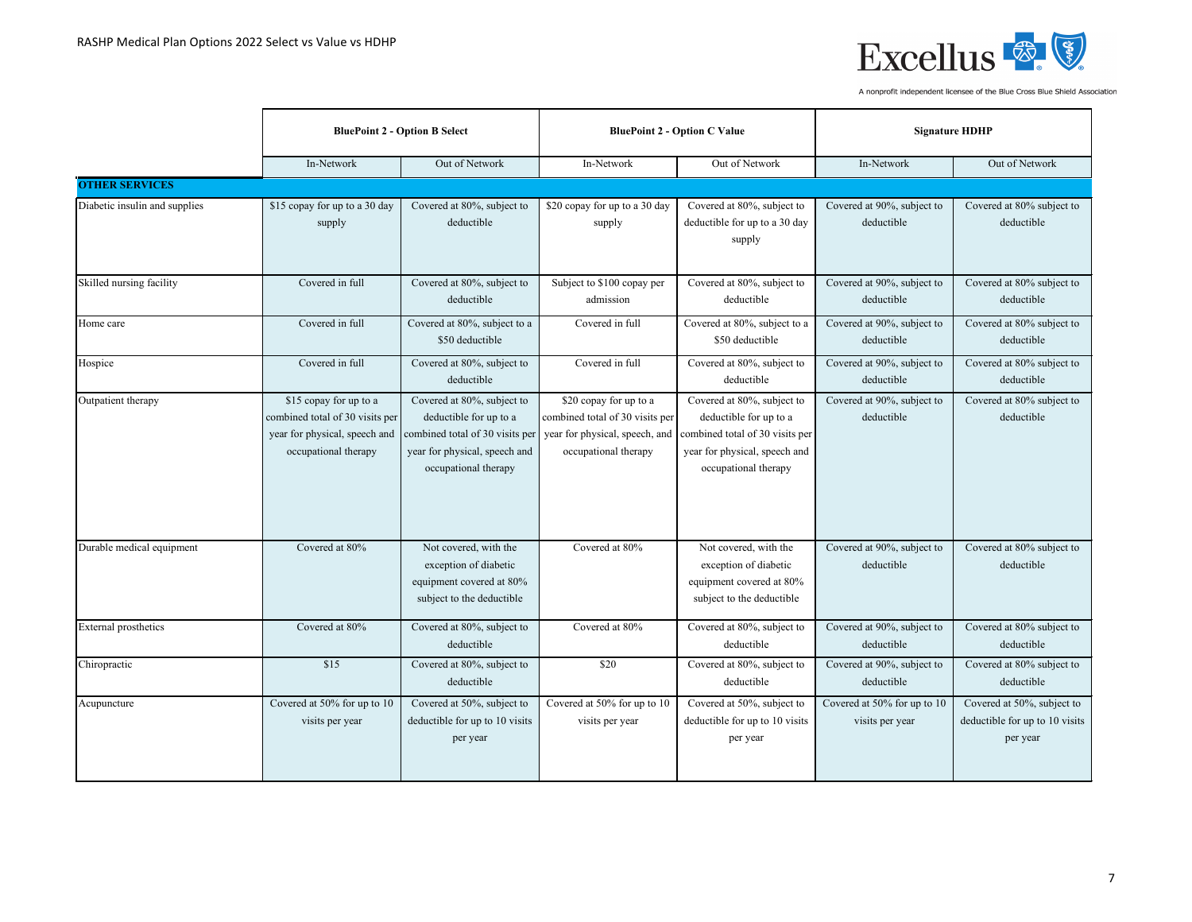

|                               | <b>BluePoint 2 - Option B Select</b>                                              |                                                                                                                                                                                | <b>BluePoint 2 - Option C Value</b>                                                                                 |                                                                                                                                                  | <b>Signature HDHP</b>                          |                                                                          |
|-------------------------------|-----------------------------------------------------------------------------------|--------------------------------------------------------------------------------------------------------------------------------------------------------------------------------|---------------------------------------------------------------------------------------------------------------------|--------------------------------------------------------------------------------------------------------------------------------------------------|------------------------------------------------|--------------------------------------------------------------------------|
|                               | In-Network                                                                        | Out of Network                                                                                                                                                                 | In-Network                                                                                                          | Out of Network                                                                                                                                   | In-Network                                     | Out of Network                                                           |
| <b>OTHER SERVICES</b>         |                                                                                   |                                                                                                                                                                                |                                                                                                                     |                                                                                                                                                  |                                                |                                                                          |
| Diabetic insulin and supplies | \$15 copay for up to a 30 day<br>supply                                           | Covered at 80%, subject to<br>deductible                                                                                                                                       | \$20 copay for up to a 30 day<br>supply                                                                             | Covered at 80%, subject to<br>deductible for up to a 30 day<br>supply                                                                            | Covered at 90%, subject to<br>deductible       | Covered at 80% subject to<br>deductible                                  |
| Skilled nursing facility      | Covered in full                                                                   | Covered at 80%, subject to<br>deductible                                                                                                                                       | Subject to \$100 copay per<br>admission                                                                             | Covered at 80%, subject to<br>deductible                                                                                                         | Covered at 90%, subject to<br>deductible       | Covered at 80% subject to<br>deductible                                  |
| Home care                     | Covered in full                                                                   | Covered at 80%, subject to a<br>\$50 deductible                                                                                                                                | Covered in full                                                                                                     | Covered at 80%, subject to a<br>\$50 deductible                                                                                                  | Covered at 90%, subject to<br>deductible       | Covered at 80% subject to<br>deductible                                  |
| Hospice                       | Covered in full                                                                   | Covered at 80%, subject to<br>deductible                                                                                                                                       | Covered in full                                                                                                     | Covered at 80%, subject to<br>deductible                                                                                                         | Covered at 90%, subject to<br>deductible       | Covered at 80% subject to<br>deductible                                  |
| Outpatient therapy            | \$15 copay for up to a<br>combined total of 30 visits per<br>occupational therapy | Covered at 80%, subject to<br>deductible for up to a<br>year for physical, speech and combined total of 30 visits per<br>year for physical, speech and<br>occupational therapy | \$20 copay for up to a<br>combined total of 30 visits per<br>year for physical, speech, and<br>occupational therapy | Covered at 80%, subject to<br>deductible for up to a<br>combined total of 30 visits per<br>year for physical, speech and<br>occupational therapy | Covered at 90%, subject to<br>deductible       | Covered at 80% subject to<br>deductible                                  |
| Durable medical equipment     | Covered at 80%                                                                    | Not covered, with the<br>exception of diabetic<br>equipment covered at 80%<br>subject to the deductible                                                                        | Covered at 80%                                                                                                      | Not covered, with the<br>exception of diabetic<br>equipment covered at 80%<br>subject to the deductible                                          | Covered at 90%, subject to<br>deductible       | Covered at 80% subject to<br>deductible                                  |
| <b>External prosthetics</b>   | Covered at 80%                                                                    | Covered at 80%, subject to<br>deductible                                                                                                                                       | Covered at 80%                                                                                                      | Covered at 80%, subject to<br>deductible                                                                                                         | Covered at 90%, subject to<br>deductible       | Covered at 80% subject to<br>deductible                                  |
| Chiropractic                  | \$15                                                                              | Covered at 80%, subject to<br>deductible                                                                                                                                       | \$20                                                                                                                | Covered at 80%, subject to<br>deductible                                                                                                         | Covered at 90%, subject to<br>deductible       | Covered at 80% subject to<br>deductible                                  |
| Acupuncture                   | Covered at 50% for up to 10<br>visits per year                                    | Covered at 50%, subject to<br>deductible for up to 10 visits<br>per year                                                                                                       | Covered at 50% for up to 10<br>visits per year                                                                      | Covered at 50%, subject to<br>deductible for up to 10 visits<br>per year                                                                         | Covered at 50% for up to 10<br>visits per year | Covered at 50%, subject to<br>deductible for up to 10 visits<br>per year |